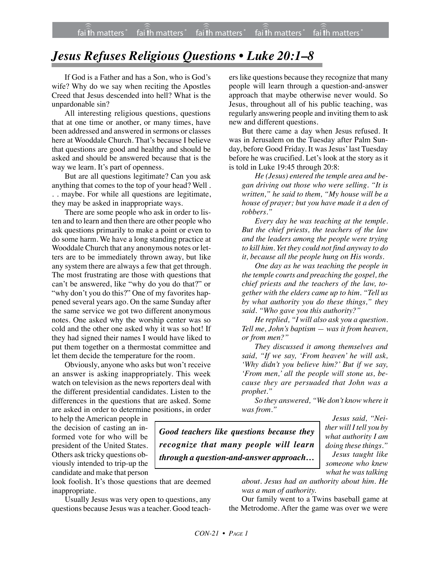## *Jesus Refuses Religious Questions • Luke 20:1–8*

If God is a Father and has a Son, who is God's wife? Why do we say when reciting the Apostles Creed that Jesus descended into hell? What is the unpardonable sin?

All interesting religious questions, questions that at one time or another, or many times, have been addressed and answered in sermons or classes here at Wooddale Church. That's because I believe that questions are good and healthy and should be asked and should be answered because that is the way we learn. It's part of openness.

But are all questions legitimate? Can you ask anything that comes to the top of your head? Well . . . maybe. For while all questions are legitimate, they may be asked in inappropriate ways.

There are some people who ask in order to listen and to learn and then there are other people who ask questions primarily to make a point or even to do some harm. We have a long standing practice at Wooddale Church that any anonymous notes or letters are to be immediately thrown away, but like any system there are always a few that get through. The most frustrating are those with questions that can't be answered, like "why do you do that?" or "why don't you do this?" One of my favorites happened several years ago. On the same Sunday after the same service we got two different anonymous notes. One asked why the worship center was so cold and the other one asked why it was so hot! If they had signed their names I would have liked to put them together on a thermostat committee and let them decide the temperature for the room.

Obviously, anyone who asks but won't receive an answer is asking inappropriately. This week watch on television as the news reporters deal with the different presidential candidates. Listen to the differences in the questions that are asked. Some are asked in order to determine positions, in order

to help the American people in the decision of casting an informed vote for who will be president of the United States. Others ask tricky questions obviously intended to trip-up the candidate and make that person

look foolish. It's those questions that are deemed inappropriate.

Usually Jesus was very open to questions, any questions because Jesus was a teacher. Good teachers like questions because they recognize that many people will learn through a question-and-answer approach that maybe otherwise never would. So Jesus, throughout all of his public teaching, was regularly answering people and inviting them to ask new and different questions.

But there came a day when Jesus refused. It was in Jerusalem on the Tuesday after Palm Sunday, before Good Friday. It was Jesus' last Tuesday before he was crucified. Let's look at the story as it is told in Luke 19:45 through 20:8:

*He (Jesus) entered the temple area and began driving out those who were selling. "It is written," he said to them, "My house will be a house of prayer; but you have made it a den of robbers."*

*Every day he was teaching at the temple. But the chief priests, the teachers of the law and the leaders among the people were trying to kill him. Yet they could not find anyway to do it, because all the people hung on His words.*

*One day as he was teaching the people in the temple courts and preaching the gospel, the chief priests and the teachers of the law, together with the elders came up to him. "Tell us by what authority you do these things," they said. "Who gave you this authority?"*

*He replied, "I will also ask you a question. Tell me, John's baptism — was it from heaven, or from men?"*

*They discussed it among themselves and said, "If we say, 'From heaven' he will ask, 'Why didn't you believe him?' But if we say, 'From men,' all the people will stone us, because they are persuaded that John was a prophet."*

*So they answered, "We don't know where it was from."*

*Good teachers like questions because they recognize that many people will learn through a question-and-answer approach…*

*Jesus said, "Neither will I tell you by what authority I am doing these things." Jesus taught like someone who knew what he was talking*

*about. Jesus had an authority about him. He was a man of authority.*

Our family went to a Twins baseball game at the Metrodome. After the game was over we were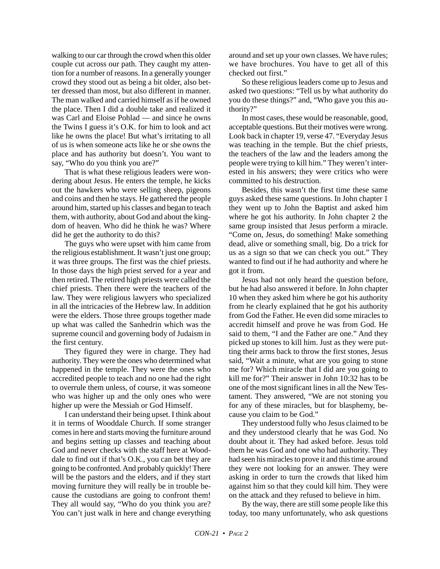walking to our car through the crowd when this older couple cut across our path. They caught my attention for a number of reasons. In a generally younger crowd they stood out as being a bit older, also better dressed than most, but also different in manner. The man walked and carried himself as if he owned the place. Then I did a double take and realized it was Carl and Eloise Pohlad — and since he owns the Twins I guess it's O.K. for him to look and act like he owns the place! But what's irritating to all of us is when someone acts like he or she owns the place and has authority but doesn't. You want to say, "Who do you think you are?"

That is what these religious leaders were wondering about Jesus. He enters the temple, he kicks out the hawkers who were selling sheep, pigeons and coins and then he stays. He gathered the people around him, started up his classes and began to teach them, with authority, about God and about the kingdom of heaven. Who did he think he was? Where did he get the authority to do this?

The guys who were upset with him came from the religious establishment. It wasn't just one group; it was three groups. The first was the chief priests. In those days the high priest served for a year and then retired. The retired high priests were called the chief priests. Then there were the teachers of the law. They were religious lawyers who specialized in all the intricacies of the Hebrew law. In addition were the elders. Those three groups together made up what was called the Sanhedrin which was the supreme council and governing body of Judaism in the first century.

They figured they were in charge. They had authority. They were the ones who determined what happened in the temple. They were the ones who accredited people to teach and no one had the right to overrule them unless, of course, it was someone who was higher up and the only ones who were higher up were the Messiah or God Himself.

I can understand their being upset. I think about it in terms of Wooddale Church. If some stranger comes in here and starts moving the furniture around and begins setting up classes and teaching about God and never checks with the staff here at Wooddale to find out if that's O.K., you can bet they are going to be confronted. And probably quickly! There will be the pastors and the elders, and if they start moving furniture they will really be in trouble because the custodians are going to confront them! They all would say, "Who do you think you are? You can't just walk in here and change everything around and set up your own classes. We have rules; we have brochures. You have to get all of this checked out first."

So these religious leaders come up to Jesus and asked two questions: "Tell us by what authority do you do these things?" and, "Who gave you this authority?"

In most cases, these would be reasonable, good, acceptable questions. But their motives were wrong. Look back in chapter 19, verse 47. "Everyday Jesus was teaching in the temple. But the chief priests, the teachers of the law and the leaders among the people were trying to kill him." They weren't interested in his answers; they were critics who were committed to his destruction.

Besides, this wasn't the first time these same guys asked these same questions. In John chapter 1 they went up to John the Baptist and asked him where he got his authority. In John chapter 2 the same group insisted that Jesus perform a miracle. "Come on, Jesus, do something! Make something dead, alive or something small, big. Do a trick for us as a sign so that we can check you out." They wanted to find out if he had authority and where he got it from.

Jesus had not only heard the question before, but he had also answered it before. In John chapter 10 when they asked him where he got his authority from he clearly explained that he got his authority from God the Father. He even did some miracles to accredit himself and prove he was from God. He said to them, "I and the Father are one." And they picked up stones to kill him. Just as they were putting their arms back to throw the first stones, Jesus said, "Wait a minute, what are you going to stone me for? Which miracle that I did are you going to kill me for?" Their answer in John 10:32 has to be one of the most significant lines in all the New Testament. They answered, "We are not stoning you for any of these miracles, but for blasphemy, because you claim to be God."

They understood fully who Jesus claimed to be and they understood clearly that he was God. No doubt about it. They had asked before. Jesus told them he was God and one who had authority. They had seen his miracles to prove it and this time around they were not looking for an answer. They were asking in order to turn the crowds that liked him against him so that they could kill him. They were on the attack and they refused to believe in him.

By the way, there are still some people like this today, too many unfortunately, who ask questions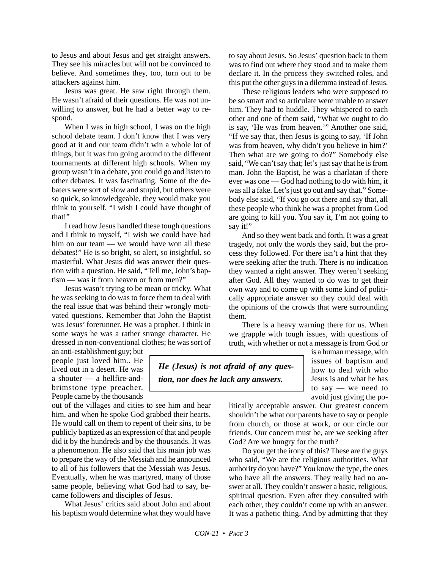to Jesus and about Jesus and get straight answers. They see his miracles but will not be convinced to believe. And sometimes they, too, turn out to be attackers against him.

Jesus was great. He saw right through them. He wasn't afraid of their questions. He was not unwilling to answer, but he had a better way to respond.

When I was in high school, I was on the high school debate team. I don't know that I was very good at it and our team didn't win a whole lot of things, but it was fun going around to the different tournaments at different high schools. When my group wasn't in a debate, you could go and listen to other debates. It was fascinating. Some of the debaters were sort of slow and stupid, but others were so quick, so knowledgeable, they would make you think to yourself, "I wish I could have thought of that!"

I read how Jesus handled these tough questions and I think to myself, "I wish we could have had him on our team — we would have won all these debates!" He is so bright, so alert, so insightful, so masterful. What Jesus did was answer their question with a question. He said, "Tell me, John's baptism — was it from heaven or from men?"

Jesus wasn't trying to be mean or tricky. What he was seeking to do was to force them to deal with the real issue that was behind their wrongly motivated questions. Remember that John the Baptist was Jesus' forerunner. He was a prophet. I think in some ways he was a rather strange character. He dressed in non-conventional clothes; he was sort of

an anti-establishment guy; but people just loved him.. He lived out in a desert. He was a shouter — a hellfire-andbrimstone type preacher. People came by the thousands

out of the villages and cities to see him and hear him, and when he spoke God grabbed their hearts. He would call on them to repent of their sins, to be publicly baptized as an expression of that and people did it by the hundreds and by the thousands. It was a phenomenon. He also said that his main job was to prepare the way of the Messiah and he announced to all of his followers that the Messiah was Jesus. Eventually, when he was martyred, many of those same people, believing what God had to say, became followers and disciples of Jesus.

What Jesus' critics said about John and about his baptism would determine what they would have to say about Jesus. So Jesus' question back to them was to find out where they stood and to make them declare it. In the process they switched roles, and this put the other guys in a dilemma instead of Jesus.

These religious leaders who were supposed to be so smart and so articulate were unable to answer him. They had to huddle. They whispered to each other and one of them said, "What we ought to do is say, 'He was from heaven.'" Another one said, "If we say that, then Jesus is going to say, 'If John was from heaven, why didn't you believe in him?' Then what are we going to do?" Somebody else said, "We can't say that; let's just say that he is from man. John the Baptist, he was a charlatan if there ever was one — God had nothing to do with him, it was all a fake. Let's just go out and say that." Somebody else said, "If you go out there and say that, all these people who think he was a prophet from God are going to kill you. You say it, I'm not going to say it!"

And so they went back and forth. It was a great tragedy, not only the words they said, but the process they followed. For there isn't a hint that they were seeking after the truth. There is no indication they wanted a right answer. They weren't seeking after God. All they wanted to do was to get their own way and to come up with some kind of politically appropriate answer so they could deal with the opinions of the crowds that were surrounding them.

There is a heavy warning there for us. When we grapple with tough issues, with questions of truth, with whether or not a message is from God or

*He (Jesus) is not afraid of any question, nor does he lack any answers.*

is a human message, with issues of baptism and how to deal with who Jesus is and what he has to say — we need to avoid just giving the po-

litically acceptable answer. Our greatest concern shouldn't be what our parents have to say or people from church, or those at work, or our circle our friends. Our concern must be, are we seeking after God? Are we hungry for the truth?

Do you get the irony of this? These are the guys who said, "We are the religious authorities. What authority do you have?" You know the type, the ones who have all the answers. They really had no answer at all. They couldn't answer a basic, religious, spiritual question. Even after they consulted with each other, they couldn't come up with an answer. It was a pathetic thing. And by admitting that they